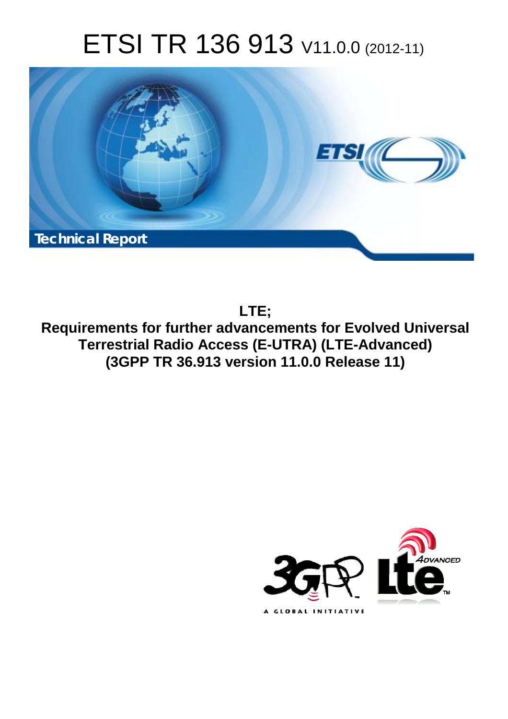# ETSI TR 136 913 V11.0.0 (2012-11)



**LTE;**

**Requirements for further advancements for Evolved Universal Terrestrial Radio Access (E-UTRA) (LTE-Advanced) (3GPP TR 36.913 version 11.0.0 Release 11)** 

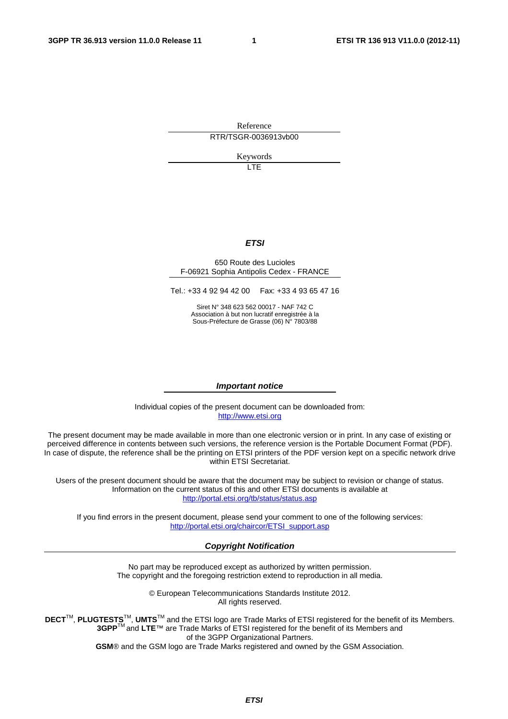Reference RTR/TSGR-0036913vb00

Keywords

LTE

#### *ETSI*

#### 650 Route des Lucioles F-06921 Sophia Antipolis Cedex - FRANCE

Tel.: +33 4 92 94 42 00 Fax: +33 4 93 65 47 16

Siret N° 348 623 562 00017 - NAF 742 C Association à but non lucratif enregistrée à la Sous-Préfecture de Grasse (06) N° 7803/88

#### *Important notice*

Individual copies of the present document can be downloaded from: [http://www.etsi.org](http://www.etsi.org/)

The present document may be made available in more than one electronic version or in print. In any case of existing or perceived difference in contents between such versions, the reference version is the Portable Document Format (PDF). In case of dispute, the reference shall be the printing on ETSI printers of the PDF version kept on a specific network drive within ETSI Secretariat.

Users of the present document should be aware that the document may be subject to revision or change of status. Information on the current status of this and other ETSI documents is available at <http://portal.etsi.org/tb/status/status.asp>

If you find errors in the present document, please send your comment to one of the following services: [http://portal.etsi.org/chaircor/ETSI\\_support.asp](http://portal.etsi.org/chaircor/ETSI_support.asp)

#### *Copyright Notification*

No part may be reproduced except as authorized by written permission. The copyright and the foregoing restriction extend to reproduction in all media.

> © European Telecommunications Standards Institute 2012. All rights reserved.

DECT<sup>™</sup>, PLUGTESTS<sup>™</sup>, UMTS<sup>™</sup> and the ETSI logo are Trade Marks of ETSI registered for the benefit of its Members. **3GPP**TM and **LTE**™ are Trade Marks of ETSI registered for the benefit of its Members and of the 3GPP Organizational Partners.

**GSM**® and the GSM logo are Trade Marks registered and owned by the GSM Association.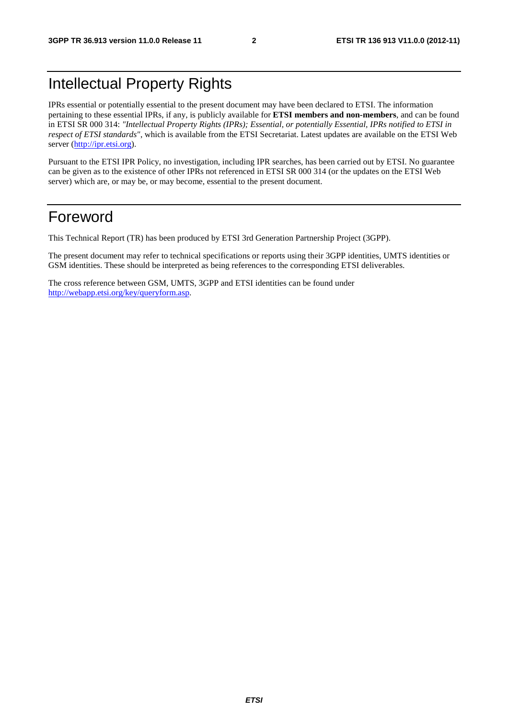## Intellectual Property Rights

IPRs essential or potentially essential to the present document may have been declared to ETSI. The information pertaining to these essential IPRs, if any, is publicly available for **ETSI members and non-members**, and can be found in ETSI SR 000 314: *"Intellectual Property Rights (IPRs); Essential, or potentially Essential, IPRs notified to ETSI in respect of ETSI standards"*, which is available from the ETSI Secretariat. Latest updates are available on the ETSI Web server ([http://ipr.etsi.org\)](http://webapp.etsi.org/IPR/home.asp).

Pursuant to the ETSI IPR Policy, no investigation, including IPR searches, has been carried out by ETSI. No guarantee can be given as to the existence of other IPRs not referenced in ETSI SR 000 314 (or the updates on the ETSI Web server) which are, or may be, or may become, essential to the present document.

## Foreword

This Technical Report (TR) has been produced by ETSI 3rd Generation Partnership Project (3GPP).

The present document may refer to technical specifications or reports using their 3GPP identities, UMTS identities or GSM identities. These should be interpreted as being references to the corresponding ETSI deliverables.

The cross reference between GSM, UMTS, 3GPP and ETSI identities can be found under [http://webapp.etsi.org/key/queryform.asp.](http://webapp.etsi.org/key/queryform.asp)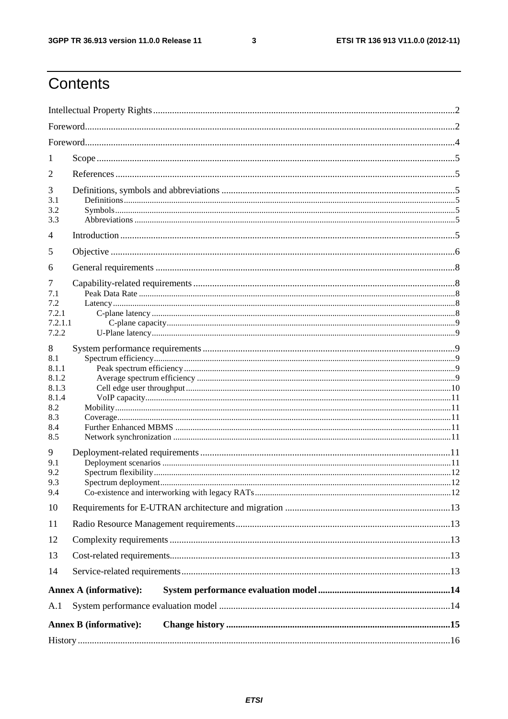$\mathbf{3}$ 

## Contents

| 1                                                                        |                               |  |
|--------------------------------------------------------------------------|-------------------------------|--|
| 2                                                                        |                               |  |
| 3<br>3.1<br>3.2<br>3.3                                                   |                               |  |
| 4                                                                        |                               |  |
| 5                                                                        |                               |  |
| 6                                                                        |                               |  |
| 7<br>7.1<br>7.2<br>7.2.1<br>7.2.1.1<br>7.2.2                             |                               |  |
| 8<br>8.1<br>8.1.1<br>8.1.2<br>8.1.3<br>8.1.4<br>8.2<br>8.3<br>8.4<br>8.5 |                               |  |
| 9<br>9.1<br>9.2<br>9.3<br>9.4                                            |                               |  |
| 10                                                                       |                               |  |
| 11                                                                       |                               |  |
| 12                                                                       |                               |  |
| 13                                                                       |                               |  |
| 14                                                                       |                               |  |
|                                                                          | <b>Annex A (informative):</b> |  |
| A.1                                                                      |                               |  |
|                                                                          | <b>Annex B</b> (informative): |  |
|                                                                          |                               |  |
|                                                                          |                               |  |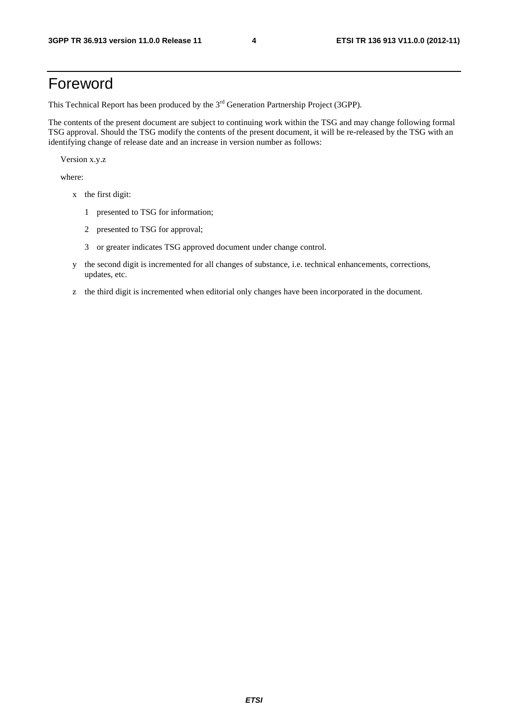## Foreword

This Technical Report has been produced by the  $3<sup>rd</sup>$  Generation Partnership Project (3GPP).

The contents of the present document are subject to continuing work within the TSG and may change following formal TSG approval. Should the TSG modify the contents of the present document, it will be re-released by the TSG with an identifying change of release date and an increase in version number as follows:

Version x.y.z

where:

- x the first digit:
	- 1 presented to TSG for information;
	- 2 presented to TSG for approval;
	- 3 or greater indicates TSG approved document under change control.
- y the second digit is incremented for all changes of substance, i.e. technical enhancements, corrections, updates, etc.
- z the third digit is incremented when editorial only changes have been incorporated in the document.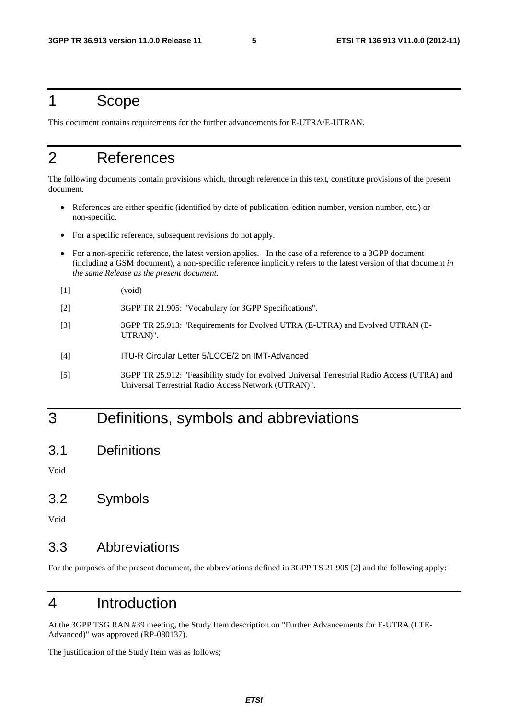## 1 Scope

This document contains requirements for the further advancements for E-UTRA/E-UTRAN.

## 2 References

The following documents contain provisions which, through reference in this text, constitute provisions of the present document.

- References are either specific (identified by date of publication, edition number, version number, etc.) or non-specific.
- For a specific reference, subsequent revisions do not apply.
- For a non-specific reference, the latest version applies. In the case of a reference to a 3GPP document (including a GSM document), a non-specific reference implicitly refers to the latest version of that document *in the same Release as the present document*.
- [1] (void)
- [2] 3GPP TR 21.905: "Vocabulary for 3GPP Specifications".
- [3] 3GPP TR 25.913: "Requirements for Evolved UTRA (E-UTRA) and Evolved UTRAN (E-UTRAN)".
- [4] ITU-R Circular Letter 5/LCCE/2 on IMT-Advanced
- [5] 3GPP TR 25.912: "Feasibility study for evolved Universal Terrestrial Radio Access (UTRA) and Universal Terrestrial Radio Access Network (UTRAN)".

## 3 Definitions, symbols and abbreviations

3.1 Definitions

Void

3.2 Symbols

Void

### 3.3 Abbreviations

For the purposes of the present document, the abbreviations defined in 3GPP TS 21.905 [2] and the following apply:

## 4 Introduction

At the 3GPP TSG RAN #39 meeting, the Study Item description on "Further Advancements for E-UTRA (LTE-Advanced)" was approved (RP-080137).

The justification of the Study Item was as follows;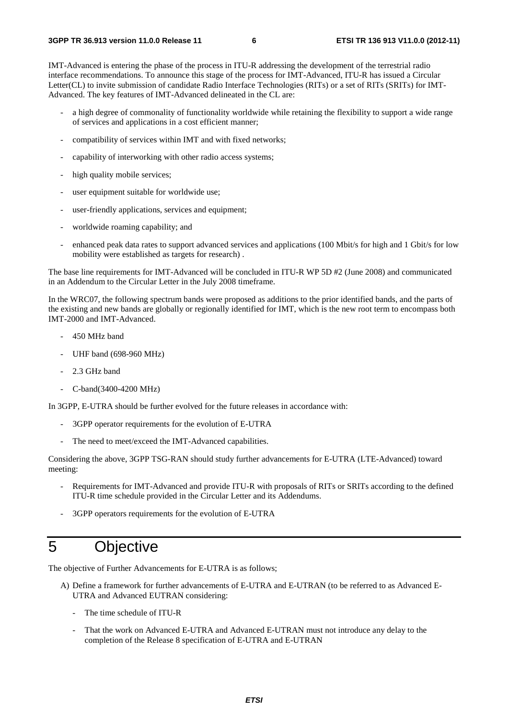IMT-Advanced is entering the phase of the process in ITU-R addressing the development of the terrestrial radio interface recommendations. To announce this stage of the process for IMT-Advanced, ITU-R has issued a Circular Letter(CL) to invite submission of candidate Radio Interface Technologies (RITs) or a set of RITs (SRITs) for IMT-Advanced. The key features of IMT-Advanced delineated in the CL are:

- a high degree of commonality of functionality worldwide while retaining the flexibility to support a wide range of services and applications in a cost efficient manner;
- compatibility of services within IMT and with fixed networks;
- capability of interworking with other radio access systems;
- high quality mobile services;
- user equipment suitable for worldwide use;
- user-friendly applications, services and equipment;
- worldwide roaming capability; and
- enhanced peak data rates to support advanced services and applications (100 Mbit/s for high and 1 Gbit/s for low mobility were established as targets for research) .

The base line requirements for IMT-Advanced will be concluded in ITU-R WP 5D #2 (June 2008) and communicated in an Addendum to the Circular Letter in the July 2008 timeframe.

In the WRC07, the following spectrum bands were proposed as additions to the prior identified bands, and the parts of the existing and new bands are globally or regionally identified for IMT, which is the new root term to encompass both IMT-2000 and IMT-Advanced.

- 450 MHz band
- UHF band (698-960 MHz)
- 2.3 GHz band
- C-band(3400-4200 MHz)

In 3GPP, E-UTRA should be further evolved for the future releases in accordance with:

- 3GPP operator requirements for the evolution of E-UTRA
- The need to meet/exceed the IMT-Advanced capabilities.

Considering the above, 3GPP TSG-RAN should study further advancements for E-UTRA (LTE-Advanced) toward meeting:

- Requirements for IMT-Advanced and provide ITU-R with proposals of RITs or SRITs according to the defined ITU-R time schedule provided in the Circular Letter and its Addendums.
- 3GPP operators requirements for the evolution of E-UTRA

## 5 Objective

The objective of Further Advancements for E-UTRA is as follows;

- A) Define a framework for further advancements of E-UTRA and E-UTRAN (to be referred to as Advanced E-UTRA and Advanced EUTRAN considering:
	- The time schedule of ITU-R
	- That the work on Advanced E-UTRA and Advanced E-UTRAN must not introduce any delay to the completion of the Release 8 specification of E-UTRA and E-UTRAN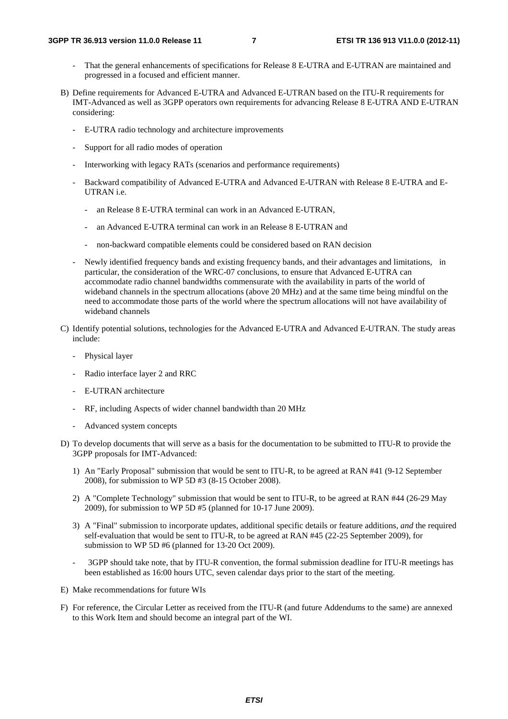- That the general enhancements of specifications for Release 8 E-UTRA and E-UTRAN are maintained and progressed in a focused and efficient manner.
- B) Define requirements for Advanced E-UTRA and Advanced E-UTRAN based on the ITU-R requirements for IMT-Advanced as well as 3GPP operators own requirements for advancing Release 8 E-UTRA AND E-UTRAN considering:
	- E-UTRA radio technology and architecture improvements
	- Support for all radio modes of operation
	- Interworking with legacy RATs (scenarios and performance requirements)
	- Backward compatibility of Advanced E-UTRA and Advanced E-UTRAN with Release 8 E-UTRA and E-UTRAN i.e.
		- an Release 8 E-UTRA terminal can work in an Advanced E-UTRAN,
		- an Advanced E-UTRA terminal can work in an Release 8 E-UTRAN and
		- non-backward compatible elements could be considered based on RAN decision
	- Newly identified frequency bands and existing frequency bands, and their advantages and limitations, in particular, the consideration of the WRC-07 conclusions, to ensure that Advanced E-UTRA can accommodate radio channel bandwidths commensurate with the availability in parts of the world of wideband channels in the spectrum allocations (above 20 MHz) and at the same time being mindful on the need to accommodate those parts of the world where the spectrum allocations will not have availability of wideband channels
- C) Identify potential solutions, technologies for the Advanced E-UTRA and Advanced E-UTRAN. The study areas include:
	- Physical layer
	- Radio interface layer 2 and RRC
	- E-UTRAN architecture
	- RF, including Aspects of wider channel bandwidth than 20 MHz
	- Advanced system concepts
- D) To develop documents that will serve as a basis for the documentation to be submitted to ITU-R to provide the 3GPP proposals for IMT-Advanced:
	- 1) An "Early Proposal" submission that would be sent to ITU-R, to be agreed at RAN #41 (9-12 September 2008), for submission to WP 5D #3 (8-15 October 2008).
	- 2) A "Complete Technology" submission that would be sent to ITU-R, to be agreed at RAN #44 (26-29 May 2009), for submission to WP 5D #5 (planned for 10-17 June 2009).
	- 3) A "Final" submission to incorporate updates, additional specific details or feature additions, *and* the required self-evaluation that would be sent to ITU-R, to be agreed at RAN #45 (22-25 September 2009), for submission to WP 5D #6 (planned for 13-20 Oct 2009).
	- 3GPP should take note, that by ITU-R convention, the formal submission deadline for ITU-R meetings has been established as 16:00 hours UTC, seven calendar days prior to the start of the meeting.
- E) Make recommendations for future WIs
- F) For reference, the Circular Letter as received from the ITU-R (and future Addendums to the same) are annexed to this Work Item and should become an integral part of the WI.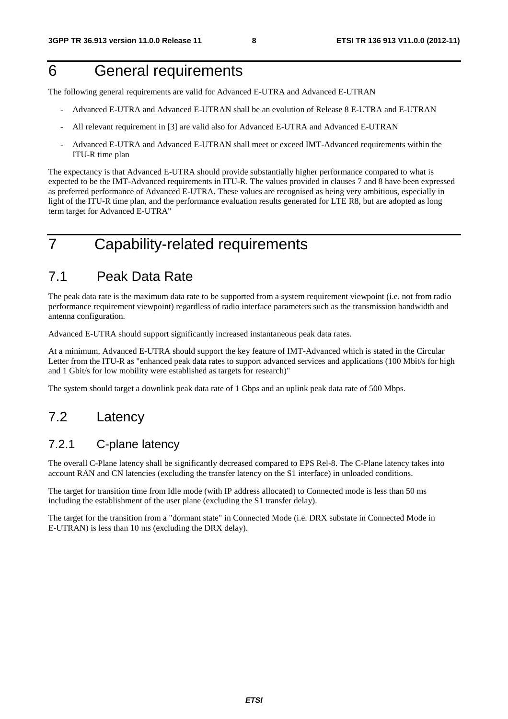## 6 General requirements

The following general requirements are valid for Advanced E-UTRA and Advanced E-UTRAN

- Advanced E-UTRA and Advanced E-UTRAN shall be an evolution of Release 8 E-UTRA and E-UTRAN
- All relevant requirement in [3] are valid also for Advanced E-UTRA and Advanced E-UTRAN
- Advanced E-UTRA and Advanced E-UTRAN shall meet or exceed IMT-Advanced requirements within the ITU-R time plan

The expectancy is that Advanced E-UTRA should provide substantially higher performance compared to what is expected to be the IMT-Advanced requirements in ITU-R. The values provided in clauses 7 and 8 have been expressed as preferred performance of Advanced E-UTRA. These values are recognised as being very ambitious, especially in light of the ITU-R time plan, and the performance evaluation results generated for LTE R8, but are adopted as long term target for Advanced E-UTRA"

## 7 Capability-related requirements

## 7.1 Peak Data Rate

The peak data rate is the maximum data rate to be supported from a system requirement viewpoint (i.e. not from radio performance requirement viewpoint) regardless of radio interface parameters such as the transmission bandwidth and antenna configuration.

Advanced E-UTRA should support significantly increased instantaneous peak data rates.

At a minimum, Advanced E-UTRA should support the key feature of IMT-Advanced which is stated in the Circular Letter from the ITU-R as "enhanced peak data rates to support advanced services and applications (100 Mbit/s for high and 1 Gbit/s for low mobility were established as targets for research)"

The system should target a downlink peak data rate of 1 Gbps and an uplink peak data rate of 500 Mbps.

## 7.2 Latency

### 7.2.1 C-plane latency

The overall C-Plane latency shall be significantly decreased compared to EPS Rel-8. The C-Plane latency takes into account RAN and CN latencies (excluding the transfer latency on the S1 interface) in unloaded conditions.

The target for transition time from Idle mode (with IP address allocated) to Connected mode is less than 50 ms including the establishment of the user plane (excluding the S1 transfer delay).

The target for the transition from a "dormant state" in Connected Mode (i.e. DRX substate in Connected Mode in E-UTRAN) is less than 10 ms (excluding the DRX delay).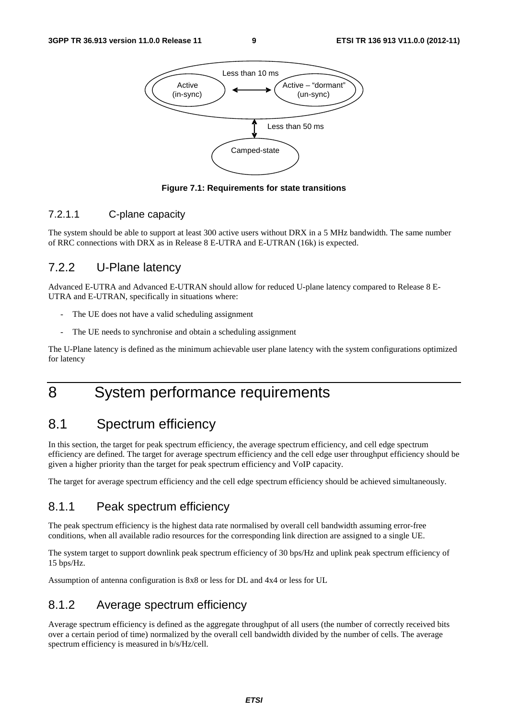

**Figure 7.1: Requirements for state transitions** 

#### 7.2.1.1 C-plane capacity

The system should be able to support at least 300 active users without DRX in a 5 MHz bandwidth. The same number of RRC connections with DRX as in Release 8 E-UTRA and E-UTRAN (16k) is expected.

### 7.2.2 U-Plane latency

Advanced E-UTRA and Advanced E-UTRAN should allow for reduced U-plane latency compared to Release 8 E-UTRA and E-UTRAN, specifically in situations where:

- The UE does not have a valid scheduling assignment
- The UE needs to synchronise and obtain a scheduling assignment

The U-Plane latency is defined as the minimum achievable user plane latency with the system configurations optimized for latency

## 8 System performance requirements

## 8.1 Spectrum efficiency

In this section, the target for peak spectrum efficiency, the average spectrum efficiency, and cell edge spectrum efficiency are defined. The target for average spectrum efficiency and the cell edge user throughput efficiency should be given a higher priority than the target for peak spectrum efficiency and VoIP capacity.

The target for average spectrum efficiency and the cell edge spectrum efficiency should be achieved simultaneously.

### 8.1.1 Peak spectrum efficiency

The peak spectrum efficiency is the highest data rate normalised by overall cell bandwidth assuming error-free conditions, when all available radio resources for the corresponding link direction are assigned to a single UE.

The system target to support downlink peak spectrum efficiency of 30 bps/Hz and uplink peak spectrum efficiency of 15 bps/Hz.

Assumption of antenna configuration is 8x8 or less for DL and 4x4 or less for UL

### 8.1.2 Average spectrum efficiency

Average spectrum efficiency is defined as the aggregate throughput of all users (the number of correctly received bits over a certain period of time) normalized by the overall cell bandwidth divided by the number of cells. The average spectrum efficiency is measured in b/s/Hz/cell.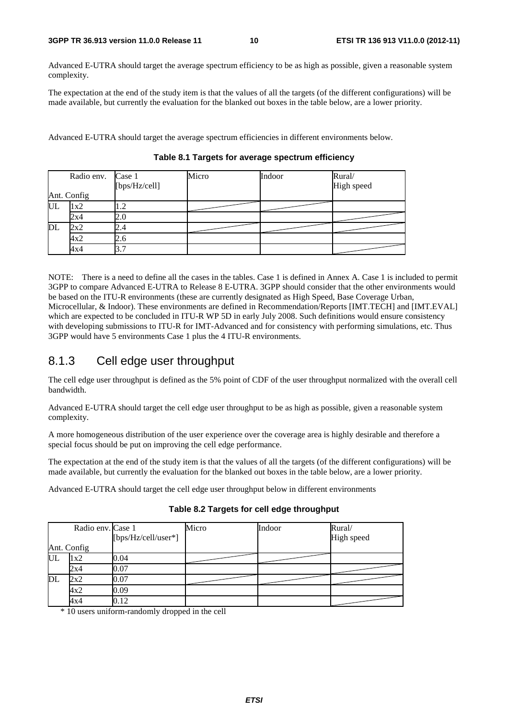Advanced E-UTRA should target the average spectrum efficiency to be as high as possible, given a reasonable system complexity.

The expectation at the end of the study item is that the values of all the targets (of the different configurations) will be made available, but currently the evaluation for the blanked out boxes in the table below, are a lower priority.

Advanced E-UTRA should target the average spectrum efficiencies in different environments below.

|    | Radio env. Case 1 | [bps/Hz/cell] | Micro | Indoor | Rural/<br>High speed |
|----|-------------------|---------------|-------|--------|----------------------|
|    | Ant. Config       |               |       |        |                      |
| UL | 1x2               |               |       |        |                      |
|    | 2x4               | 2.0           |       |        |                      |
| DL | 2x2               | 2.4           |       |        |                      |
|    | 4x2               | 2.6           |       |        |                      |
|    | 4x4               | 3.            |       |        |                      |

**Table 8.1 Targets for average spectrum efficiency** 

NOTE: There is a need to define all the cases in the tables. Case 1 is defined in Annex A. Case 1 is included to permit 3GPP to compare Advanced E-UTRA to Release 8 E-UTRA. 3GPP should consider that the other environments would be based on the ITU-R environments (these are currently designated as High Speed, Base Coverage Urban, Microcellular, & Indoor). These environments are defined in Recommendation/Reports [IMT.TECH] and [IMT.EVAL] which are expected to be concluded in ITU-R WP 5D in early July 2008. Such definitions would ensure consistency with developing submissions to ITU-R for IMT-Advanced and for consistency with performing simulations, etc. Thus 3GPP would have 5 environments Case 1 plus the 4 ITU-R environments.

### 8.1.3 Cell edge user throughput

The cell edge user throughput is defined as the 5% point of CDF of the user throughput normalized with the overall cell bandwidth.

Advanced E-UTRA should target the cell edge user throughput to be as high as possible, given a reasonable system complexity.

A more homogeneous distribution of the user experience over the coverage area is highly desirable and therefore a special focus should be put on improving the cell edge performance.

The expectation at the end of the study item is that the values of all the targets (of the different configurations) will be made available, but currently the evaluation for the blanked out boxes in the table below, are a lower priority.

Advanced E-UTRA should target the cell edge user throughput below in different environments

|  |  |  |  | Table 8.2 Targets for cell edge throughput |
|--|--|--|--|--------------------------------------------|
|--|--|--|--|--------------------------------------------|

|    | Radio env. Case 1 | [bps/Hz/cell/user*] | Micro | Indoor | Rural/<br>High speed |
|----|-------------------|---------------------|-------|--------|----------------------|
|    | Ant. Config       |                     |       |        |                      |
| UL | 1x2               | 0.04                |       |        |                      |
|    | 2x4               | 0.07                |       |        |                      |
| DL | 2x2               | 0.07                |       |        |                      |
|    | 4x2               | 0.09                |       |        |                      |
|    | 4x4               | 0.12                |       |        |                      |

\* 10 users uniform-randomly dropped in the cell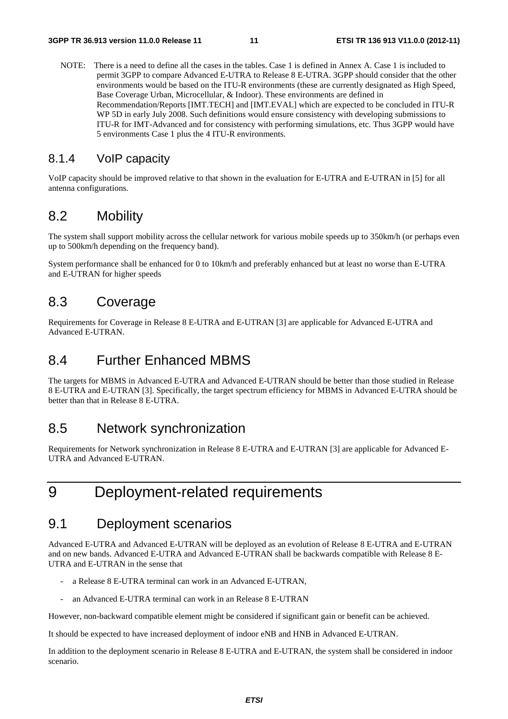NOTE: There is a need to define all the cases in the tables. Case 1 is defined in Annex A. Case 1 is included to permit 3GPP to compare Advanced E-UTRA to Release 8 E-UTRA. 3GPP should consider that the other environments would be based on the ITU-R environments (these are currently designated as High Speed, Base Coverage Urban, Microcellular, & Indoor). These environments are defined in Recommendation/Reports [IMT.TECH] and [IMT.EVAL] which are expected to be concluded in ITU-R WP 5D in early July 2008. Such definitions would ensure consistency with developing submissions to ITU-R for IMT-Advanced and for consistency with performing simulations, etc. Thus 3GPP would have 5 environments Case 1 plus the 4 ITU-R environments.

### 8.1.4 VoIP capacity

VoIP capacity should be improved relative to that shown in the evaluation for E-UTRA and E-UTRAN in [5] for all antenna configurations.

### 8.2 Mobility

The system shall support mobility across the cellular network for various mobile speeds up to 350km/h (or perhaps even up to 500km/h depending on the frequency band).

System performance shall be enhanced for 0 to 10km/h and preferably enhanced but at least no worse than E-UTRA and E-UTRAN for higher speeds

### 8.3 Coverage

Requirements for Coverage in Release 8 E-UTRA and E-UTRAN [3] are applicable for Advanced E-UTRA and Advanced E-UTRAN.

### 8.4 Further Enhanced MBMS

The targets for MBMS in Advanced E-UTRA and Advanced E-UTRAN should be better than those studied in Release 8 E-UTRA and E-UTRAN [3]. Specifically, the target spectrum efficiency for MBMS in Advanced E-UTRA should be better than that in Release 8 E-UTRA.

### 8.5 Network synchronization

Requirements for Network synchronization in Release 8 E-UTRA and E-UTRAN [3] are applicable for Advanced E-UTRA and Advanced E-UTRAN.

## 9 Deployment-related requirements

### 9.1 Deployment scenarios

Advanced E-UTRA and Advanced E-UTRAN will be deployed as an evolution of Release 8 E-UTRA and E-UTRAN and on new bands. Advanced E-UTRA and Advanced E-UTRAN shall be backwards compatible with Release 8 E-UTRA and E-UTRAN in the sense that

- a Release 8 E-UTRA terminal can work in an Advanced E-UTRAN,
- an Advanced E-UTRA terminal can work in an Release 8 E-UTRAN

However, non-backward compatible element might be considered if significant gain or benefit can be achieved.

It should be expected to have increased deployment of indoor eNB and HNB in Advanced E-UTRAN.

In addition to the deployment scenario in Release 8 E-UTRA and E-UTRAN, the system shall be considered in indoor scenario.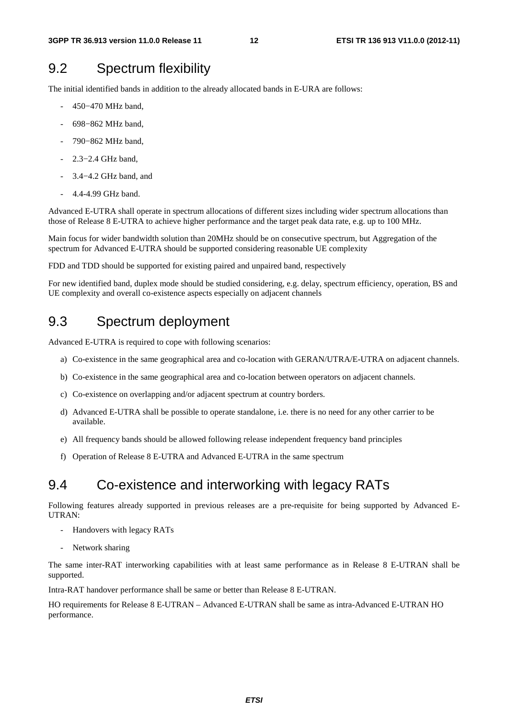### 9.2 Spectrum flexibility

The initial identified bands in addition to the already allocated bands in E-URA are follows:

- 450−470 MHz band,
- 698−862 MHz band,
- 790-862 MHz band,
- 2.3–2.4 GHz band,
- 3.4–4.2 GHz band, and
- 4.4-4.99 GHz band.

Advanced E-UTRA shall operate in spectrum allocations of different sizes including wider spectrum allocations than those of Release 8 E-UTRA to achieve higher performance and the target peak data rate, e.g. up to 100 MHz.

Main focus for wider bandwidth solution than 20MHz should be on consecutive spectrum, but Aggregation of the spectrum for Advanced E-UTRA should be supported considering reasonable UE complexity

FDD and TDD should be supported for existing paired and unpaired band, respectively

For new identified band, duplex mode should be studied considering, e.g. delay, spectrum efficiency, operation, BS and UE complexity and overall co-existence aspects especially on adjacent channels

### 9.3 Spectrum deployment

Advanced E-UTRA is required to cope with following scenarios:

- a) Co-existence in the same geographical area and co-location with GERAN/UTRA/E-UTRA on adjacent channels.
- b) Co-existence in the same geographical area and co-location between operators on adjacent channels.
- c) Co-existence on overlapping and/or adjacent spectrum at country borders.
- d) Advanced E-UTRA shall be possible to operate standalone, i.e. there is no need for any other carrier to be available.
- e) All frequency bands should be allowed following release independent frequency band principles
- f) Operation of Release 8 E-UTRA and Advanced E-UTRA in the same spectrum

### 9.4 Co-existence and interworking with legacy RATs

Following features already supported in previous releases are a pre-requisite for being supported by Advanced E-UTRAN:

- Handovers with legacy RATs
- Network sharing

The same inter-RAT interworking capabilities with at least same performance as in Release 8 E-UTRAN shall be supported.

Intra-RAT handover performance shall be same or better than Release 8 E-UTRAN.

HO requirements for Release 8 E-UTRAN – Advanced E-UTRAN shall be same as intra-Advanced E-UTRAN HO performance.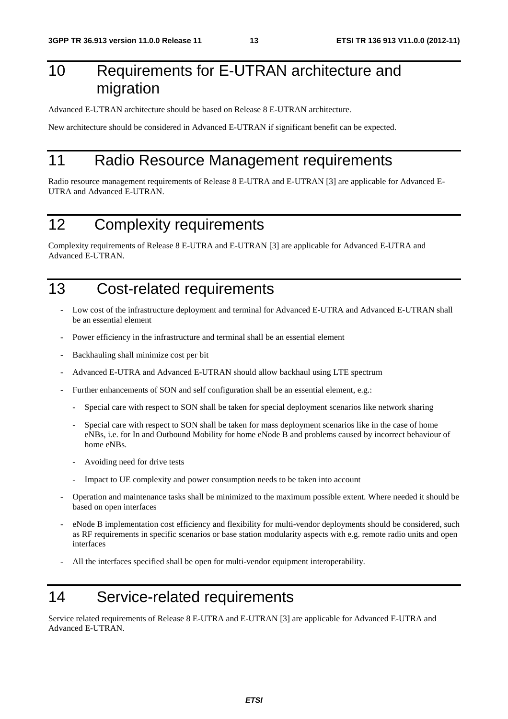## 10 Requirements for E-UTRAN architecture and migration

Advanced E-UTRAN architecture should be based on Release 8 E-UTRAN architecture.

New architecture should be considered in Advanced E-UTRAN if significant benefit can be expected.

## 11 Radio Resource Management requirements

Radio resource management requirements of Release 8 E-UTRA and E-UTRAN [3] are applicable for Advanced E-UTRA and Advanced E-UTRAN.

## 12 Complexity requirements

Complexity requirements of Release 8 E-UTRA and E-UTRAN [3] are applicable for Advanced E-UTRA and Advanced E-UTRAN.

## 13 Cost-related requirements

- Low cost of the infrastructure deployment and terminal for Advanced E-UTRA and Advanced E-UTRAN shall be an essential element
- Power efficiency in the infrastructure and terminal shall be an essential element
- Backhauling shall minimize cost per bit
- Advanced E-UTRA and Advanced E-UTRAN should allow backhaul using LTE spectrum
- Further enhancements of SON and self configuration shall be an essential element, e.g.:
	- Special care with respect to SON shall be taken for special deployment scenarios like network sharing
	- Special care with respect to SON shall be taken for mass deployment scenarios like in the case of home eNBs, i.e. for In and Outbound Mobility for home eNode B and problems caused by incorrect behaviour of home eNBs.
	- Avoiding need for drive tests
	- Impact to UE complexity and power consumption needs to be taken into account
- Operation and maintenance tasks shall be minimized to the maximum possible extent. Where needed it should be based on open interfaces
- eNode B implementation cost efficiency and flexibility for multi-vendor deployments should be considered, such as RF requirements in specific scenarios or base station modularity aspects with e.g. remote radio units and open interfaces
- All the interfaces specified shall be open for multi-vendor equipment interoperability.

## 14 Service-related requirements

Service related requirements of Release 8 E-UTRA and E-UTRAN [3] are applicable for Advanced E-UTRA and Advanced E-UTRAN.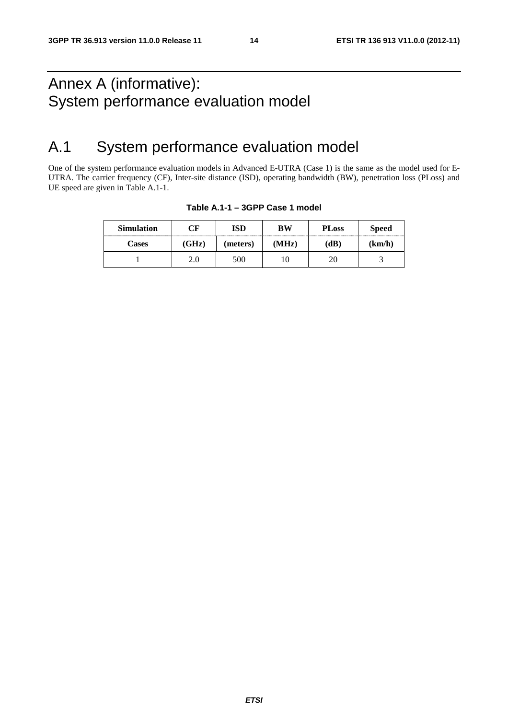## Annex A (informative): System performance evaluation model

## A.1 System performance evaluation model

One of the system performance evaluation models in Advanced E-UTRA (Case 1) is the same as the model used for E-UTRA. The carrier frequency (CF), Inter-site distance (ISD), operating bandwidth (BW), penetration loss (PLoss) and UE speed are given in Table A.1-1.

| <b>Simulation</b> | $\gamma_{\rm F}$ | ISD      | ВW    | <b>PLoss</b> | <b>Speed</b> |
|-------------------|------------------|----------|-------|--------------|--------------|
| Cases             | (GHz)            | (meters) | (MHz) | (dB)         | (km/h)       |
|                   | z.u              | 500      |       |              |              |

#### **Table A.1-1 – 3GPP Case 1 model**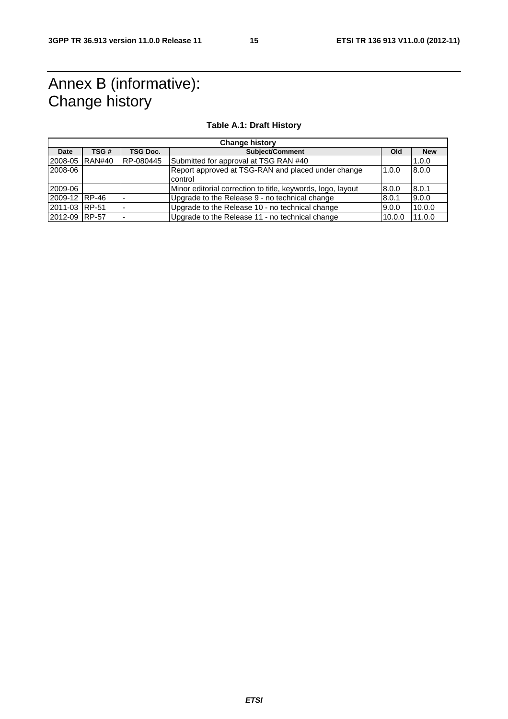## Annex B (informative): Change history

#### **Table A.1: Draft History**

| <b>Change history</b> |               |           |                                                               |        |            |
|-----------------------|---------------|-----------|---------------------------------------------------------------|--------|------------|
| Date                  | TSG #         | TSG Doc.  | <b>Subiect/Comment</b>                                        | Old    | <b>New</b> |
| 2008-05               | <b>RAN#40</b> | RP-080445 | Submitted for approval at TSG RAN #40                         |        | 1.0.0      |
| 2008-06               |               |           | Report approved at TSG-RAN and placed under change<br>control | 1.0.0  | 8.0.0      |
| 2009-06               |               |           | Minor editorial correction to title, keywords, logo, layout   | 8.0.0  | 8.0.1      |
| 2009-12 RP-46         |               |           | Upgrade to the Release 9 - no technical change                | 8.0.1  | 9.0.0      |
| 2011-03 RP-51         |               |           | Upgrade to the Release 10 - no technical change               | 9.0.0  | 10.0.0     |
| 2012-09 RP-57         |               |           | Upgrade to the Release 11 - no technical change               | 10.0.0 | 11.0.0     |